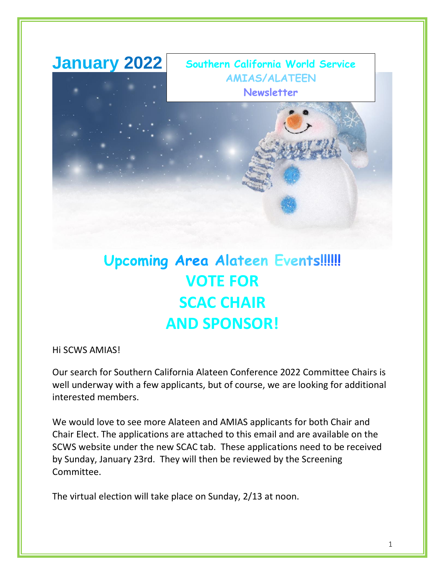

# **Upcoming Area Alateen Events!!!!!! VOTE FOR SCAC CHAIR AND SPONSOR!**

Hi SCWS AMIAS!

Our search for Southern California Alateen Conference 2022 Committee Chairs is well underway with a few applicants, but of course, we are looking for additional interested members.

We would love to see more Alateen and AMIAS applicants for both Chair and Chair Elect. The applications are attached to this email and are available on the SCWS website under the new SCAC tab. These applications need to be received by Sunday, January 23rd. They will then be reviewed by the Screening Committee.

The virtual election will take place on Sunday, 2/13 at noon.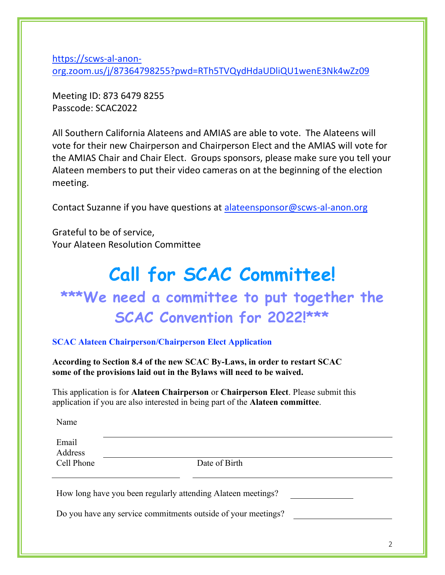[https://scws-al-anon](https://scws-al-anon-org.zoom.us/j/87364798255?pwd=RTh5TVQydHdaUDliQU1wenE3Nk4wZz09)[org.zoom.us/j/87364798255?pwd=RTh5TVQydHdaUDliQU1wenE3Nk4wZz09](https://scws-al-anon-org.zoom.us/j/87364798255?pwd=RTh5TVQydHdaUDliQU1wenE3Nk4wZz09)

Meeting ID: 873 6479 8255 Passcode: SCAC2022

All Southern California Alateens and AMIAS are able to vote. The Alateens will vote for their new Chairperson and Chairperson Elect and the AMIAS will vote for the AMIAS Chair and Chair Elect. Groups sponsors, please make sure you tell your Alateen members to put their video cameras on at the beginning of the election meeting.

Contact Suzanne if you have questions at [alateensponsor@scws-al-anon.org](mailto:alateensponsor@scws-al-anon.org)

Grateful to be of service, Your Alateen Resolution Committee

## **Call for SCAC Committee! \*\*\*We need a committee to put together the SCAC Convention for 2022!\*\*\***

**SCAC Alateen Chairperson/Chairperson Elect Application**

**According to Section 8.4 of the new SCAC By-Laws, in order to restart SCAC some of the provisions laid out in the Bylaws will need to be waived.**

This application is for **Alateen Chairperson** or **Chairperson Elect**. Please submit this application if you are also interested in being part of the **Alateen committee**.

Name

| Email<br>Address |               |
|------------------|---------------|
| Cell Phone       | Date of Birth |
|                  |               |

How long have you been regularly attending Alateen meetings?

Do you have any service commitments outside of your meetings?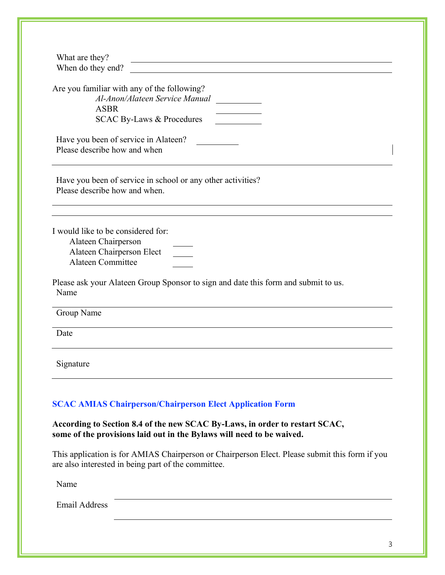| What are they?<br><u> 1989 - Johann Stein, marking and de families and de families and de families and descriptions of the second</u>                 |
|-------------------------------------------------------------------------------------------------------------------------------------------------------|
| When do they end?                                                                                                                                     |
| Are you familiar with any of the following?                                                                                                           |
| Al-Anon/Alateen Service Manual<br><b>ASBR</b>                                                                                                         |
| <b>SCAC By-Laws &amp; Procedures</b>                                                                                                                  |
|                                                                                                                                                       |
| Have you been of service in Alateen?                                                                                                                  |
| Please describe how and when                                                                                                                          |
|                                                                                                                                                       |
| Have you been of service in school or any other activities?                                                                                           |
| Please describe how and when.                                                                                                                         |
|                                                                                                                                                       |
|                                                                                                                                                       |
| I would like to be considered for:<br>Alateen Chairperson                                                                                             |
| Alateen Chairperson Elect                                                                                                                             |
| <b>Alateen Committee</b>                                                                                                                              |
|                                                                                                                                                       |
| Please ask your Alateen Group Sponsor to sign and date this form and submit to us.<br>Name                                                            |
| Group Name                                                                                                                                            |
| Date                                                                                                                                                  |
| Signature                                                                                                                                             |
|                                                                                                                                                       |
| <b>SCAC AMIAS Chairperson/Chairperson Elect Application Form</b>                                                                                      |
| According to Section 8.4 of the new SCAC By-Laws, in order to restart SCAC,<br>some of the provisions laid out in the Bylaws will need to be waived.  |
| This application is for AMIAS Chairperson or Chairperson Elect. Please submit this form if you<br>are also interested in being part of the committee. |
| Name                                                                                                                                                  |
| <b>Email Address</b>                                                                                                                                  |
|                                                                                                                                                       |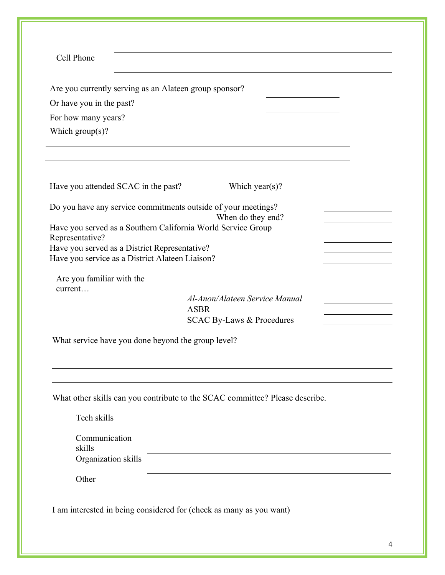| Cell Phone                           |                                                                                                  |                                                    |  |
|--------------------------------------|--------------------------------------------------------------------------------------------------|----------------------------------------------------|--|
|                                      | Are you currently serving as an Alateen group sponsor?                                           |                                                    |  |
| Or have you in the past?             |                                                                                                  |                                                    |  |
| For how many years?                  |                                                                                                  |                                                    |  |
| Which $group(s)$ ?                   |                                                                                                  |                                                    |  |
|                                      |                                                                                                  |                                                    |  |
|                                      |                                                                                                  |                                                    |  |
|                                      |                                                                                                  | Have you attended SCAC in the past? Which year(s)? |  |
|                                      | Do you have any service commitments outside of your meetings?<br>When do they end?               |                                                    |  |
|                                      | Have you served as a Southern California World Service Group                                     |                                                    |  |
| Representative?                      |                                                                                                  |                                                    |  |
|                                      | Have you served as a District Representative?<br>Have you service as a District Alateen Liaison? |                                                    |  |
|                                      |                                                                                                  |                                                    |  |
| Are you familiar with the<br>current |                                                                                                  |                                                    |  |
|                                      | Al-Anon/Alateen Service Manual                                                                   |                                                    |  |
|                                      | <b>ASBR</b><br><b>SCAC By-Laws &amp; Procedures</b>                                              |                                                    |  |
|                                      |                                                                                                  |                                                    |  |
|                                      | What service have you done beyond the group level?                                               |                                                    |  |
|                                      |                                                                                                  |                                                    |  |
|                                      |                                                                                                  |                                                    |  |
|                                      | What other skills can you contribute to the SCAC committee? Please describe.                     |                                                    |  |
|                                      |                                                                                                  |                                                    |  |
|                                      |                                                                                                  |                                                    |  |
| Tech skills                          |                                                                                                  |                                                    |  |
| Communication                        |                                                                                                  |                                                    |  |
| skills                               |                                                                                                  |                                                    |  |
| Organization skills                  |                                                                                                  |                                                    |  |
| Other                                |                                                                                                  |                                                    |  |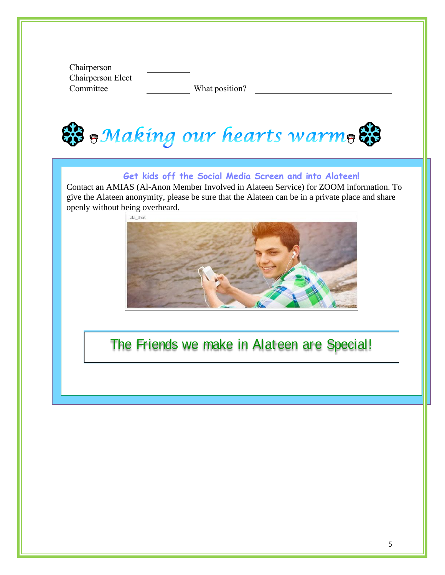Chairperson Chairperson Elect Committee What position?

& Making our hearts warm &

## **Get kids off the Social Media Screen and into Alateen!**

Contact an AMIAS (Al-Anon Member Involved in Alateen Service) for ZOOM information. To give the Alateen anonymity, please be sure that the Alateen can be in a private place and share openly without being overheard.



## The Friends we make in Alateen are Special!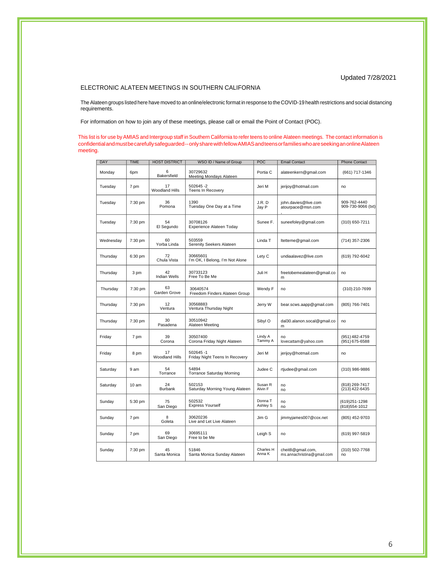#### Updated 7/28/2021

#### ELECTRONIC ALATEEN MEETINGS IN SOUTHERN CALIFORNIA

The Alateen groups listed here have moved to an online/electronic format in response to the COVID-19 health restrictions and social distancing requirements.

For information on how to join any of these meetings, please call or email the Point of Contact (POC).

This list is for use by AMIAS and Intergroup staff in Southern California to refer teens to online Alateen meetings. The contact information is confidentialandmustbecarefullysafeguarded--onlysharewithfellowAMIASandteensorfamilieswhoareseekinganonlineAlateen meeting.

| DAY       | <b>TIME</b> | <b>HOST DISTRICT</b>        | WSO ID / Name of Group                      | POC                 | <b>Email Contact</b>                            | <b>Phone Contact</b>               |
|-----------|-------------|-----------------------------|---------------------------------------------|---------------------|-------------------------------------------------|------------------------------------|
| Monday    | 6pm         | ิค<br>Bakersfield           | 30729632<br>Meeting Mondays Alateen         | Portia C            | alateenkern@gmail.com                           | (661) 717-1346                     |
| Tuesday   | 7 pm        | 17<br><b>Woodland Hills</b> | 502645-2<br>Teens In Recovery               | Jeri M              | jerijoy@hotmail.com                             | no                                 |
| Tuesday   | 7:30 pm     | 36<br>Pomona                | 1390<br>Tuesday One Day at a Time           | J.R.D<br>Jay P      | john.davies@live.com<br>atourpace@msn.com       | 909-762-4440<br>909-730-9066 (txt) |
| Tuesday   | 7:30 pm     | 54<br>El Segundo            | 30708126<br>Experience Alateen Today        | Sunee F.            | suneefoley@gmail.com                            | (310) 650-7211                     |
| Wednesday | 7:30 pm     | 60<br>Yorba Linda           | 503559<br>Serenity Seekers Alateen          | Linda T             | ltetteme@gmail.com                              | (714) 357-2306                     |
| Thursday  | 6:30 pm     | 72<br>Chula Vista           | 30665601<br>I'm OK, I Belong, I'm Not Alone | Lety C              | undiaalavez@live.com                            | (619) 792-6042                     |
| Thursday  | 3 pm        | 42<br><b>Indian Wells</b>   | 30733123<br>Free To Be Me                   | Juli H              | freetobemealateen@gmail.co<br>m                 | no                                 |
| Thursday  | 7:30 pm     | 63<br>Garden Grove          | 30640574<br>Freedom Finders Alateen Group   | Wendy F             | no                                              | (310) 210-7699                     |
| Thursday  | 7:30 pm     | 12<br>Ventura               | 30568883<br>Ventura Thursday Night          | Jerry W             | bear.scws.aapp@gmail.com                        | (805) 766-7401                     |
| Thursday  | 7:30 pm     | 30<br>Pasadena              | 30510942<br>Alateen Meeting                 | Sibyl O             | dal30.alanon.socal@gmail.co<br>m                | no                                 |
| Friday    | 7 pm        | 39<br>Corona                | 30507400<br>Corona Friday Night Alateen     | Lindy A<br>Tammy A  | no<br>lovecattam@yahoo.com                      | (951) 482-4759<br>(951) 675-6588   |
| Friday    | 8 pm        | 17<br><b>Woodland Hills</b> | 502645 -1<br>Friday Night Teens In Recovery | Jeri M              | jerijoy@hotmail.com                             | no                                 |
| Saturday  | 9 am        | 54<br>Torrance              | 54894<br><b>Torrance Saturday Morning</b>   | Judee C             | rtjudee@gmail.com                               | (310) 986-9886                     |
| Saturday  | 10 am       | 24<br><b>Burbank</b>        | 502153<br>Saturday Morning Young Alateen    | Susan R<br>Alvin F  | no<br>no                                        | (818) 269-7417<br>(213) 422-6435   |
| Sunday    | 5:30 pm     | 75<br>San Diego             | 502532<br><b>Express Yourself</b>           | Donna T<br>Ashley S | no<br>no                                        | (619)251-1298<br>(818) 554-1012    |
| Sunday    | 7 pm        | 8<br>Goleta                 | 30620236<br>Live and Let Live Alateen       | Jim G               | jimmyjames007@cox.net                           | (805) 452-9703                     |
| Sunday    | 7 pm        | 69<br>San Diego             | 30695111<br>Free to be Me                   | Leigh S             | no                                              | (619) 997-5819                     |
| Sunday    | 7:30 pm     | 45<br>Santa Monica          | 51846<br>Santa Monica Sunday Alateen        | Charles H<br>Anna K | cheit8@gmail.com,<br>ms.annachristina@gmail.com | (310) 502-7768<br>no               |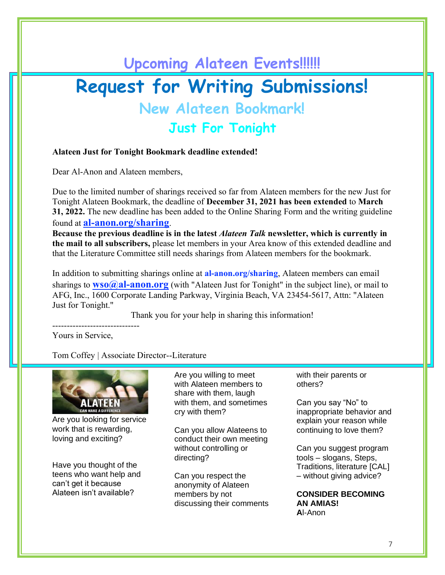# **Upcoming Alateen Events!!!!!! Request for Writing Submissions! New Alateen Bookmark!**

**Just For Tonight**

#### **Alateen Just for Tonight Bookmark deadline extended!**

Dear Al-Anon and Alateen members,

Due to the limited number of sharings received so far from Alateen members for the new Just for Tonight Alateen Bookmark, the deadline of **December 31, 2021 has been extended** to **March 31, 2022.** The new deadline has been added to the Online Sharing Form and the writing guideline found at **[al-anon.org/sharing](mailto:al-anon.org/sharing)**.

**Because the previous deadline is in the latest** *Alateen Talk* **newsletter, which is currently in the mail to all subscribers,** please let members in your Area know of this extended deadline and that the Literature Committee still needs sharings from Alateen members for the bookmark.

In addition to submitting sharings online at **al-anon.org/sharing**, Alateen members can email sharings to **[wso@al-anon.org](mailto:wso@al%1eanon.org)** (with "Alateen Just for Tonight" in the subject line), or mail to AFG, Inc., 1600 Corporate Landing Parkway, Virginia Beach, VA 23454-5617, Attn: "Alateen Just for Tonight."

Thank you for your help in sharing this information!

Yours in Service,

------------------------------

Tom Coffey | Associate Director--Literature



Are you looking for service work that is rewarding, loving and exciting?

Have you thought of the teens who want help and can't get it because Alateen isn't available?

Are you willing to meet with Alateen members to share with them, laugh with them, and sometimes cry with them?

Can you allow Alateens to conduct their own meeting without controlling or directing?

Can you respect the anonymity of Alateen members by not discussing their comments with their parents or others?

Can you say "No" to inappropriate behavior and explain your reason while continuing to love them?

Can you suggest program tools – slogans, Steps, Traditions, literature [CAL] – without giving advice?

**CONSIDER BECOMING AN AMIAS! A**l-Anon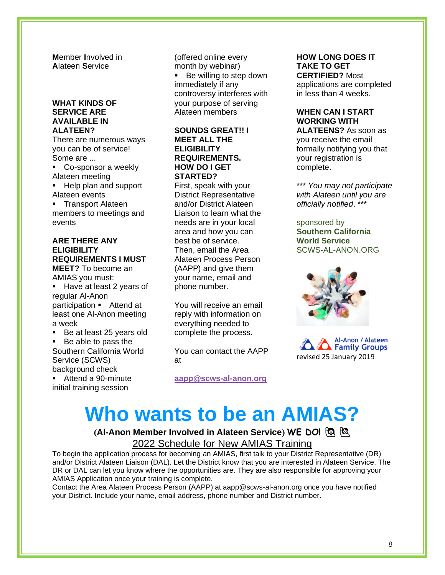**M**ember **I**nvolved in **A**lateen **S**ervice

#### **WHAT KINDS OF SERVICE ARE AVAILABLE IN ALATEEN?**

There are numerous ways you can be of service! Some are ...

- Co-sponsor a weekly Alateen meeting
- Help plan and support Alateen events
- **•** Transport Alateen members to meetings and events

## **ARE THERE ANY ELIGIBILITY REQUIREMENTS I MUST**

**MEET?** To become an AMIAS you must: ▪ Have at least 2 years of regular Al-Anon participation • Attend at least one Al-Anon meeting a week

- Be at least 25 years old
- Be able to pass the Southern California World Service (SCWS) background check

■ Attend a 90-minute initial training session

(offered online every month by webinar) ■ Be willing to step down immediately if any controversy interferes with your purpose of serving Alateen members

#### **SOUNDS GREAT!! I MEET ALL THE ELIGIBILITY REQUIREMENTS. HOW DO I GET STARTED?**

First, speak with your District Representative and/or District Alateen Liaison to learn what the needs are in your local area and how you can best be of service. Then, email the Area Alateen Process Person (AAPP) and give them your name, email and phone number.

You will receive an email reply with information on everything needed to complete the process.

You can contact the AAPP at

**[aapp@scws-al-anon.org](mailto:aapp@scws-al-anon.org)**

### **HOW LONG DOES IT TAKE TO GET CERTIFIED?** Most

applications are completed in less than 4 weeks.

## **WHEN CAN I START WORKING WITH**

**ALATEENS?** As soon as you receive the email formally notifying you that your registration is complete.

\*\*\* *You may not participate with Alateen until you are officially notified*. \*\*\*

#### sponsored by

**Southern California World Service**  SCWS-AL-ANON.ORG





# **Who wants to be an AMIAS?**

## **(Al-Anon Member Involved in Alateen Service) WE DO!** ♀️ ♂️ 2022 Schedule for New AMIAS Training

To begin the application process for becoming an AMIAS, first talk to your District Representative (DR) and/or District Alateen Liaison (DAL). Let the District know that you are interested in Alateen Service. The

DR or DAL can let you know where the opportunities are. They are also responsible for approving your AMIAS Application once your training is complete.

Contact the Area Alateen Process Person (AAPP) at aapp@scws-al-anon.org once you have notified your District. Include your name, email address, phone number and District number.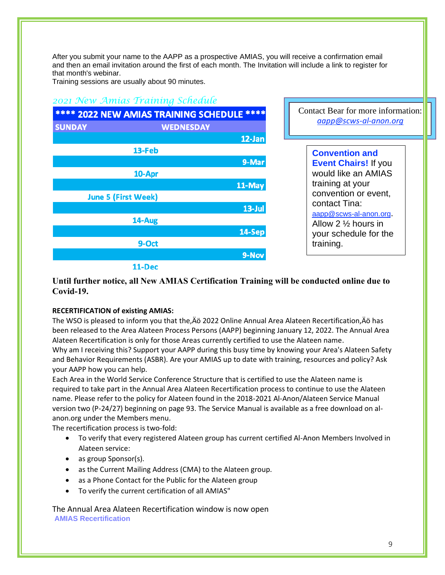After you submit your name to the AAPP as a prospective AMIAS, you will receive a confirmation email and then an email invitation around the first of each month. The Invitation will include a link to register for that month's webinar.

Training sessions are usually about 90 minutes.

## *2021 New Amias Training Schedule*

| **** 2022 NEW AMIAS TRAINING SCHEDULE **** |        |                  |  |  |
|--------------------------------------------|--------|------------------|--|--|
| <b>SUNDAY</b>                              |        | <b>WEDNESDAY</b> |  |  |
|                                            |        | 12-Jan           |  |  |
|                                            | 13-Feb |                  |  |  |
|                                            |        | 9-Mar            |  |  |
|                                            | 10-Apr |                  |  |  |
|                                            |        | 11-May           |  |  |
| <b>June 5 (First Week)</b>                 |        |                  |  |  |
|                                            |        | $13 - Jul$       |  |  |
|                                            | 14-Aug |                  |  |  |
|                                            |        | 14-Sep           |  |  |
|                                            | 9-Oct  |                  |  |  |
|                                            |        | 9-Nov            |  |  |
|                                            |        |                  |  |  |

Contact Bear for more information: *[aapp@scws-al-anon.org](mailto:aapp@scws-al-anon.org)*

| <b>Convention and</b>          |
|--------------------------------|
| <b>Event Chairs! If you</b>    |
| would like an AMIAS            |
| training at your               |
| convention or event.           |
| contact Tina:                  |
| aapp@scws-al-anon.org.         |
| Allow 2 $\frac{1}{2}$ hours in |
| your schedule for the          |
| training.                      |

#### 11-Dec

#### **Until further notice, all New AMIAS Certification Training will be conducted online due to Covid-19.**

#### **RECERTIFICATION of existing AMIAS:**

The WSO is pleased to inform you that the, Äö 2022 Online Annual Area Alateen Recertification, Äö has been released to the Area Alateen Process Persons (AAPP) beginning January 12, 2022. The Annual Area Alateen Recertification is only for those Areas currently certified to use the Alateen name. Why am I receiving this? Support your AAPP during this busy time by knowing your Area's Alateen Safety and Behavior Requirements (ASBR). Are your AMIAS up to date with training, resources and policy? Ask your AAPP how you can help.

Each Area in the World Service Conference Structure that is certified to use the Alateen name is required to take part in the Annual Area Alateen Recertification process to continue to use the Alateen name. Please refer to the policy for Alateen found in the 2018-2021 Al-Anon/Alateen Service Manual version two (P-24/27) beginning on page 93. The Service Manual is available as a free download on alanon.org under the Members menu.

The recertification process is two-fold:

- To verify that every registered Alateen group has current certified Al-Anon Members Involved in Alateen service:
- as group Sponsor(s).
- as the Current Mailing Address (CMA) to the Alateen group.
- as a Phone Contact for the Public for the Alateen group
- To verify the current certification of all AMIAS"

The Annual Area Alateen Recertification window is now open **AMIAS Recertification**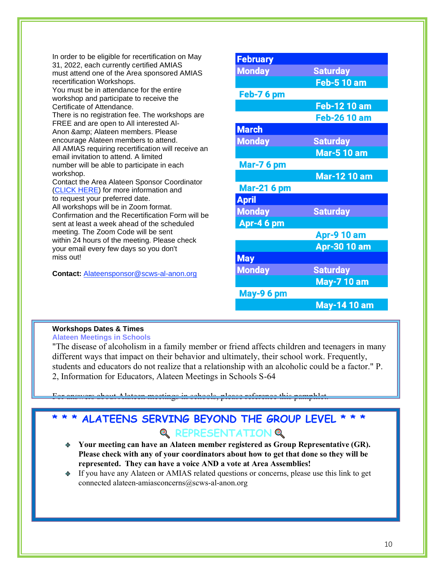| <b>May-7 10 am</b> | must attend one of the Area sponsored AMIAS<br>recertification Workshops.<br>You must be in attendance for the entire<br>workshop and participate to receive the<br>Certificate of Attendance.<br>There is no registration fee. The workshops are<br>FREE and are open to All interested Al-<br>Anon & Alateen members. Please<br>encourage Alateen members to attend.<br>All AMIAS requiring recertification will receive an<br>email invitation to attend. A limited<br>number will be able to participate in each<br>workshop.<br>Contact the Area Alateen Sponsor Coordinator<br>(CLICK HERE) for more information and<br>to request your preferred date.<br>All workshops will be in Zoom format.<br>Confirmation and the Recertification Form will be<br>sent at least a week ahead of the scheduled<br>meeting. The Zoom Code will be sent<br>within 24 hours of the meeting. Please check<br>your email every few days so you don't<br>miss out!<br>Contact: Alateensponsor@scws-al-anon.org | <b>Monday</b><br>Feb-76 pm<br><b>March</b><br><b>Monday</b><br><b>Mar-76 pm</b><br><b>Mar-21 6 pm</b><br><b>April</b><br><b>Monday</b><br>Apr-46 pm<br><b>May</b><br><b>Monday</b> | <b>Saturday</b><br><b>Feb-5 10 am</b><br>Feb-12 10 am<br><b>Feb-26 10 am</b><br><b>Saturday</b><br><b>Mar-5 10 am</b><br><b>Mar-12 10 am</b><br><b>Saturday</b><br><b>Apr-9 10 am</b><br>Apr-30 10 am<br><b>Saturday</b> |
|--------------------|------------------------------------------------------------------------------------------------------------------------------------------------------------------------------------------------------------------------------------------------------------------------------------------------------------------------------------------------------------------------------------------------------------------------------------------------------------------------------------------------------------------------------------------------------------------------------------------------------------------------------------------------------------------------------------------------------------------------------------------------------------------------------------------------------------------------------------------------------------------------------------------------------------------------------------------------------------------------------------------------------|------------------------------------------------------------------------------------------------------------------------------------------------------------------------------------|--------------------------------------------------------------------------------------------------------------------------------------------------------------------------------------------------------------------------|
| May-9 6 pm         |                                                                                                                                                                                                                                                                                                                                                                                                                                                                                                                                                                                                                                                                                                                                                                                                                                                                                                                                                                                                      |                                                                                                                                                                                    |                                                                                                                                                                                                                          |

#### **Workshops Dates & Times Alateen Meetings in Schools**

"The disease of alcoholism in a family member or friend affects children and teenagers in many different ways that impact on their behavior and ultimately, their school work. Frequently, students and educators do not realize that a relationship with an alcoholic could be a factor." P. 2, Information for Educators, Alateen Meetings in Schools S-64

For answers about Alateen meetings in schools, please reference this pamphlet.

## **\* \* \* ALATEENS SERVING BEYOND THE GROUP LEVEL \* \* \* Q REPRESENTATION Q**

- **Your meeting can have an Alateen member registered as Group Representative (GR). Please check with any of your coordinators about how to get that done so they will be represented. They can have a voice AND a vote at Area Assemblies!**
- If you have any Alateen or AMIAS related questions or concerns, please use this link to get connected alateen-amiasconcerns@scws-al-anon.org

**May-14 10 am**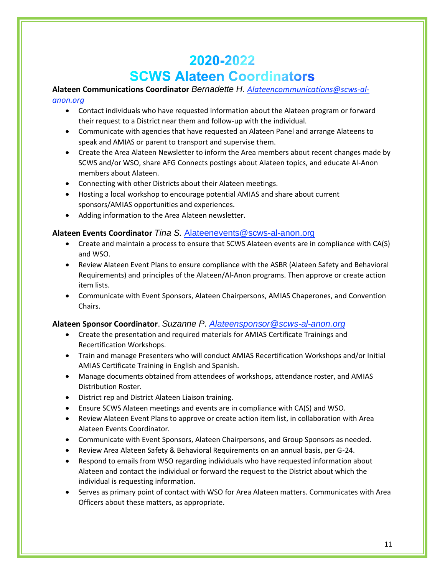## 2020-2022 **SCWS Alateen Coordinators**

### **Alateen Communications Coordinator** *Bernadette H. [Alateencommunications@scws-al-](mailto:Alateencommunications@scws-al-anon.org)*

#### *[anon.org](mailto:Alateencommunications@scws-al-anon.org)*

- Contact individuals who have requested information about the Alateen program or forward their request to a District near them and follow-up with the individual.
- Communicate with agencies that have requested an Alateen Panel and arrange Alateens to speak and AMIAS or parent to transport and supervise them.
- Create the Area Alateen Newsletter to inform the Area members about recent changes made by SCWS and/or WSO, share AFG Connects postings about Alateen topics, and educate Al-Anon members about Alateen.
- Connecting with other Districts about their Alateen meetings.
- Hosting a local workshop to encourage potential AMIAS and share about current sponsors/AMIAS opportunities and experiences.
- Adding information to the Area Alateen newsletter.

#### **Alateen Events Coordinator** *Tina S.* [Alateenevents@scws-al-anon.org](mailto:Alateenevents@scws-al-anon.org)

- Create and maintain a process to ensure that SCWS Alateen events are in compliance with CA(S) and WSO.
- Review Alateen Event Plans to ensure compliance with the ASBR (Alateen Safety and Behavioral Requirements) and principles of the Alateen/Al-Anon programs. Then approve or create action item lists.
- Communicate with Event Sponsors, Alateen Chairpersons, AMIAS Chaperones, and Convention Chairs.

#### **Alateen Sponsor Coordinator**. *Suzanne P. [Alateensponsor@scws-al-anon.org](mailto:Alateensponsor@scws-al-anon.org)*

- Create the presentation and required materials for AMIAS Certificate Trainings and Recertification Workshops.
- Train and manage Presenters who will conduct AMIAS Recertification Workshops and/or Initial AMIAS Certificate Training in English and Spanish.
- Manage documents obtained from attendees of workshops, attendance roster, and AMIAS Distribution Roster.
- District rep and District Alateen Liaison training.
- Ensure SCWS Alateen meetings and events are in compliance with CA(S) and WSO.
- Review Alateen Event Plans to approve or create action item list, in collaboration with Area Alateen Events Coordinator.
- Communicate with Event Sponsors, Alateen Chairpersons, and Group Sponsors as needed.
- Review Area Alateen Safety & Behavioral Requirements on an annual basis, per G-24.
- Respond to emails from WSO regarding individuals who have requested information about Alateen and contact the individual or forward the request to the District about which the individual is requesting information.
- Serves as primary point of contact with WSO for Area Alateen matters. Communicates with Area Officers about these matters, as appropriate.